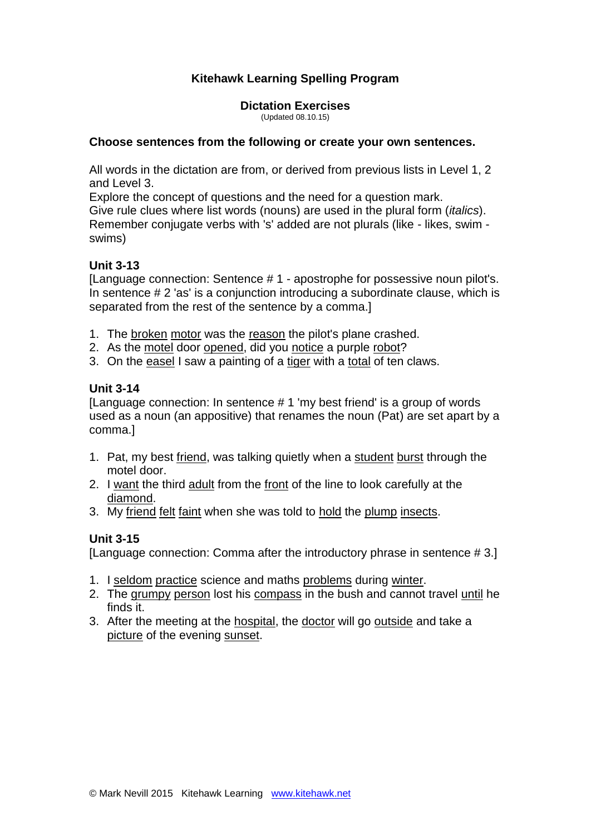# **Kitehawk Learning Spelling Program**

**Dictation Exercises** (Updated 08.10.15)

#### **Choose sentences from the following or create your own sentences.**

All words in the dictation are from, or derived from previous lists in Level 1, 2 and Level 3.

Explore the concept of questions and the need for a question mark. Give rule clues where list words (nouns) are used in the plural form (*italics*). Remember conjugate verbs with 's' added are not plurals (like - likes, swim swims)

#### **Unit 3-13**

[Language connection: Sentence # 1 - apostrophe for possessive noun pilot's. In sentence # 2 'as' is a conjunction introducing a subordinate clause, which is separated from the rest of the sentence by a comma.]

- 1. The broken motor was the reason the pilot's plane crashed.
- 2. As the motel door opened, did you notice a purple robot?
- 3. On the easel I saw a painting of a tiger with a total of ten claws.

### **Unit 3-14**

[Language connection: In sentence # 1 'my best friend' is a group of words used as a noun (an appositive) that renames the noun (Pat) are set apart by a comma.]

- 1. Pat, my best friend, was talking quietly when a student burst through the motel door.
- 2. I want the third adult from the front of the line to look carefully at the diamond.
- 3. My friend felt faint when she was told to hold the plump insects.

# **Unit 3-15**

[Language connection: Comma after the introductory phrase in sentence # 3.]

- 1. I seldom practice science and maths problems during winter.
- 2. The grumpy person lost his compass in the bush and cannot travel until he finds it.
- 3. After the meeting at the hospital, the doctor will go outside and take a picture of the evening sunset.